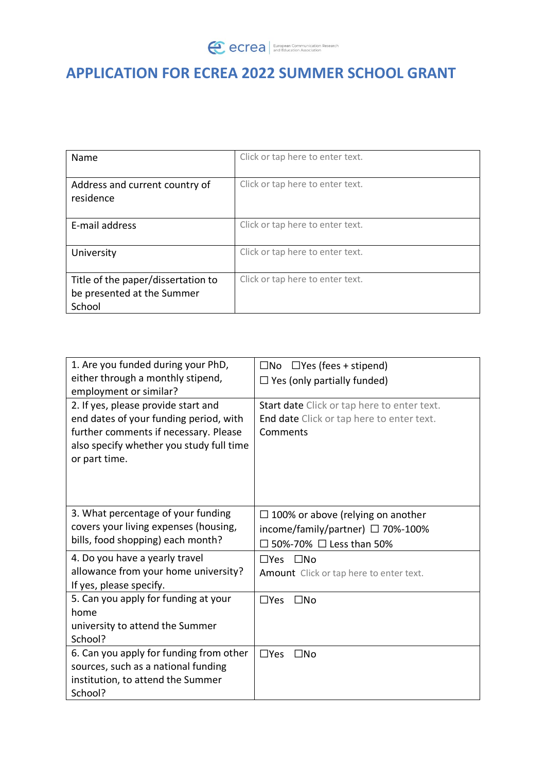## **APPLICATION FOR ECREA 2022 SUMMER SCHOOL GRANT**

| Name                                                                       | Click or tap here to enter text. |
|----------------------------------------------------------------------------|----------------------------------|
| Address and current country of<br>residence                                | Click or tap here to enter text. |
| E-mail address                                                             | Click or tap here to enter text. |
| University                                                                 | Click or tap here to enter text. |
| Title of the paper/dissertation to<br>be presented at the Summer<br>School | Click or tap here to enter text. |

| 1. Are you funded during your PhD,<br>either through a monthly stipend,<br>employment or similar?<br>2. If yes, please provide start and<br>end dates of your funding period, with<br>further comments if necessary. Please<br>also specify whether you study full time<br>or part time. | $\Box$ Yes (fees + stipend)<br>$\square$ No<br>$\Box$ Yes (only partially funded)<br>Start date Click or tap here to enter text.<br>End date Click or tap here to enter text.<br>Comments |
|------------------------------------------------------------------------------------------------------------------------------------------------------------------------------------------------------------------------------------------------------------------------------------------|-------------------------------------------------------------------------------------------------------------------------------------------------------------------------------------------|
| 3. What percentage of your funding<br>covers your living expenses (housing,<br>bills, food shopping) each month?                                                                                                                                                                         | $\Box$ 100% or above (relying on another<br>income/family/partner) $\Box$ 70%-100%<br>50%-70% □ Less than 50%                                                                             |
| 4. Do you have a yearly travel<br>allowance from your home university?<br>If yes, please specify.                                                                                                                                                                                        | $\square$ No<br>$\Box$ Yes<br>Amount Click or tap here to enter text.                                                                                                                     |
| 5. Can you apply for funding at your<br>home<br>university to attend the Summer<br>School?                                                                                                                                                                                               | $\Box$ Yes<br>$\square$ No                                                                                                                                                                |
| 6. Can you apply for funding from other<br>sources, such as a national funding<br>institution, to attend the Summer<br>School?                                                                                                                                                           | $\Box$ Yes<br>$\square$ No                                                                                                                                                                |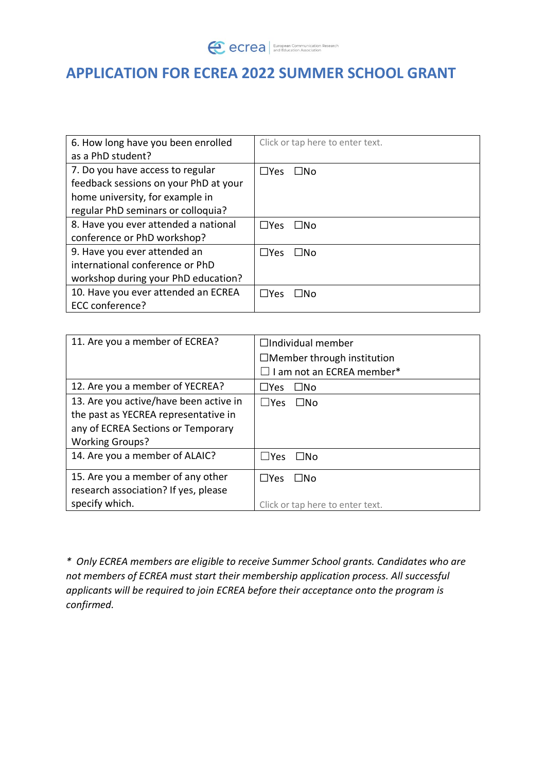**CCrea** European Communication Research

## **APPLICATION FOR ECREA 2022 SUMMER SCHOOL GRANT**

| 6. How long have you been enrolled    | Click or tap here to enter text. |
|---------------------------------------|----------------------------------|
| as a PhD student?                     |                                  |
| 7. Do you have access to regular      | $\Box$ Yes<br>$\Box$ No          |
| feedback sessions on your PhD at your |                                  |
| home university, for example in       |                                  |
| regular PhD seminars or colloquia?    |                                  |
| 8. Have you ever attended a national  | $\square$ Yes<br>ΠNo             |
| conference or PhD workshop?           |                                  |
| 9. Have you ever attended an          | $\Box$ Yes<br>⊟No                |
| international conference or PhD       |                                  |
| workshop during your PhD education?   |                                  |
| 10. Have you ever attended an ECREA   | $\Box$ Yes<br>l INo              |
| ECC conference?                       |                                  |

| 11. Are you a member of ECREA?         | $\Box$ Individual member            |
|----------------------------------------|-------------------------------------|
|                                        | $\Box$ Member through institution   |
|                                        | $\square$ I am not an ECREA member* |
| 12. Are you a member of YECREA?        | $\Box$ No<br>$\square$ Yes          |
| 13. Are you active/have been active in | l lYes<br>$\square$ No              |
| the past as YECREA representative in   |                                     |
| any of ECREA Sections or Temporary     |                                     |
| <b>Working Groups?</b>                 |                                     |
| 14. Are you a member of ALAIC?         | $\sqcup$ Yes<br>$\square$ No        |
| 15. Are you a member of any other      | $\Box$ Yes<br>$\Box$ No             |
| research association? If yes, please   |                                     |
| specify which.                         | Click or tap here to enter text.    |

*\* Only ECREA members are eligible to receive Summer School grants. Candidates who are not members of ECREA must start their membership application process. All successful applicants will be required to join ECREA before their acceptance onto the program is confirmed.*